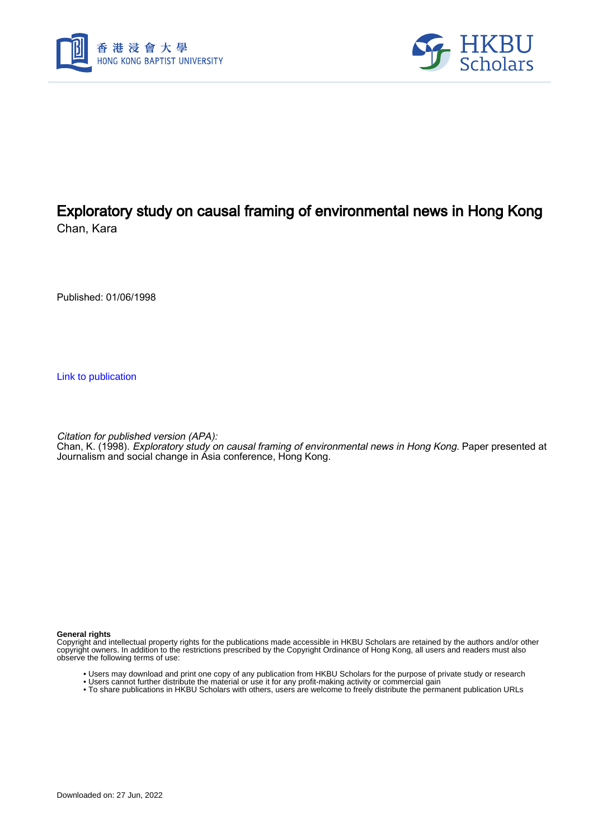



# Exploratory study on causal framing of environmental news in Hong Kong

Chan, Kara

Published: 01/06/1998

[Link to publication](https://scholars.hkbu.edu.hk/en/publications/82edaa80-f54b-4600-bdb3-79ce16ae03bb)

Citation for published version (APA):

Chan, K. (1998). *Exploratory study on causal framing of environmental news in Hong Kong*. Paper presented at Journalism and social change in Asia conference, Hong Kong.

#### **General rights**

Copyright and intellectual property rights for the publications made accessible in HKBU Scholars are retained by the authors and/or other copyright owners. In addition to the restrictions prescribed by the Copyright Ordinance of Hong Kong, all users and readers must also observe the following terms of use:

- Users may download and print one copy of any publication from HKBU Scholars for the purpose of private study or research
- Users cannot further distribute the material or use it for any profit-making activity or commercial gain
- To share publications in HKBU Scholars with others, users are welcome to freely distribute the permanent publication URLs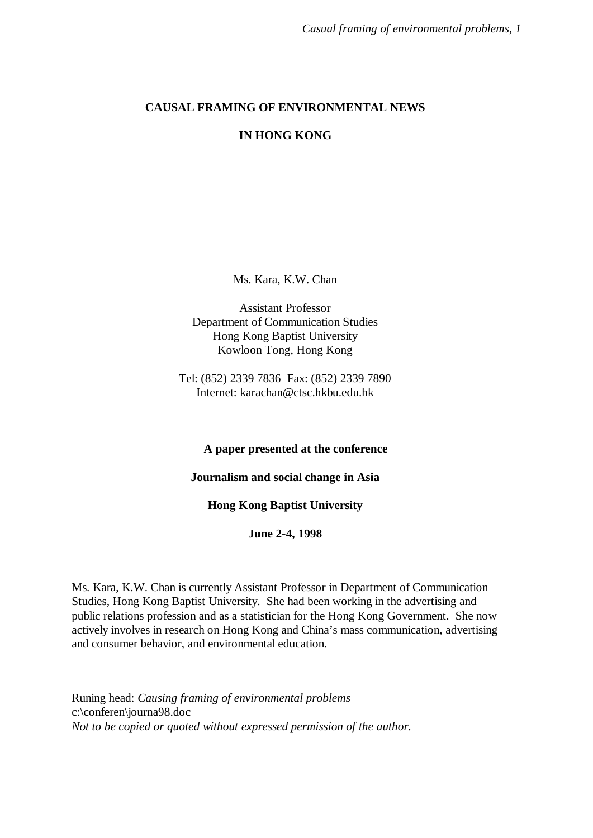## **CAUSAL FRAMING OF ENVIRONMENTAL NEWS**

## **IN HONG KONG**

Ms. Kara, K.W. Chan

Assistant Professor Department of Communication Studies Hong Kong Baptist University Kowloon Tong, Hong Kong

Tel: (852) 2339 7836 Fax: (852) 2339 7890 Internet: karachan@ctsc.hkbu.edu.hk

## **A paper presented at the conference**

**Journalism and social change in Asia**

## **Hong Kong Baptist University**

**June 2-4, 1998**

Ms. Kara, K.W. Chan is currently Assistant Professor in Department of Communication Studies, Hong Kong Baptist University. She had been working in the advertising and public relations profession and as a statistician for the Hong Kong Government. She now actively involves in research on Hong Kong and China's mass communication, advertising and consumer behavior, and environmental education.

Runing head: *Causing framing of environmental problems* c:\conferen\journa98.doc *Not to be copied or quoted without expressed permission of the author.*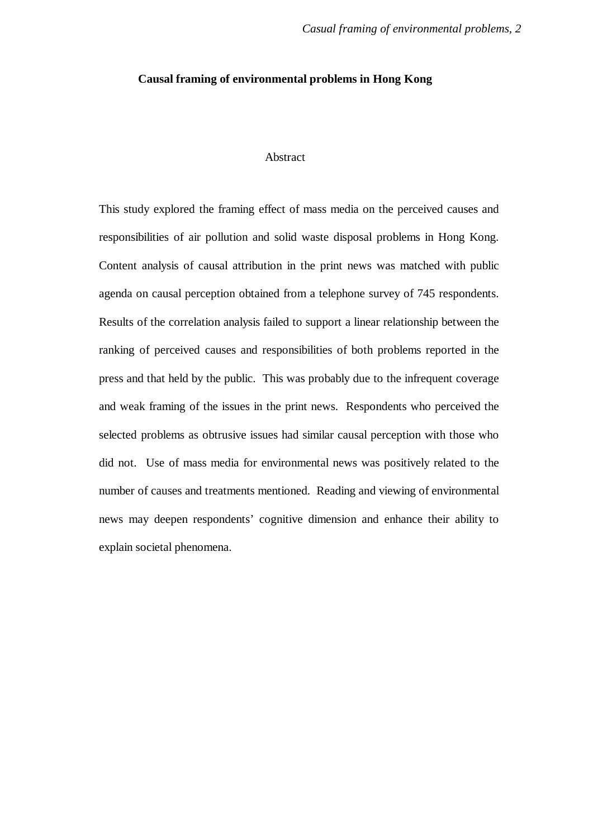#### **Causal framing of environmental problems in Hong Kong**

## Abstract

This study explored the framing effect of mass media on the perceived causes and responsibilities of air pollution and solid waste disposal problems in Hong Kong. Content analysis of causal attribution in the print news was matched with public agenda on causal perception obtained from a telephone survey of 745 respondents. Results of the correlation analysis failed to support a linear relationship between the ranking of perceived causes and responsibilities of both problems reported in the press and that held by the public. This was probably due to the infrequent coverage and weak framing of the issues in the print news. Respondents who perceived the selected problems as obtrusive issues had similar causal perception with those who did not. Use of mass media for environmental news was positively related to the number of causes and treatments mentioned. Reading and viewing of environmental news may deepen respondents' cognitive dimension and enhance their ability to explain societal phenomena.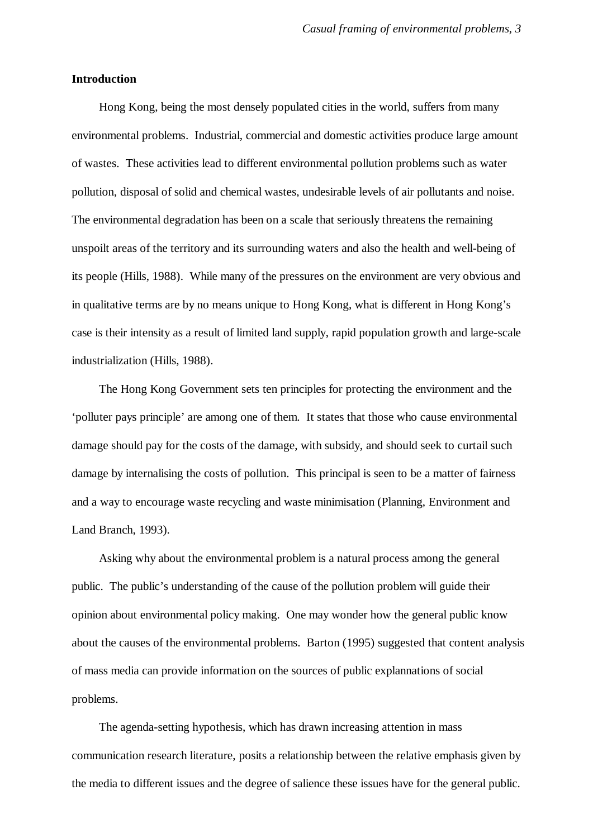## **Introduction**

Hong Kong, being the most densely populated cities in the world, suffers from many environmental problems. Industrial, commercial and domestic activities produce large amount of wastes. These activities lead to different environmental pollution problems such as water pollution, disposal of solid and chemical wastes, undesirable levels of air pollutants and noise. The environmental degradation has been on a scale that seriously threatens the remaining unspoilt areas of the territory and its surrounding waters and also the health and well-being of its people (Hills, 1988). While many of the pressures on the environment are very obvious and in qualitative terms are by no means unique to Hong Kong, what is different in Hong Kong's case is their intensity as a result of limited land supply, rapid population growth and large-scale industrialization (Hills, 1988).

The Hong Kong Government sets ten principles for protecting the environment and the 'polluter pays principle' are among one of them. It states that those who cause environmental damage should pay for the costs of the damage, with subsidy, and should seek to curtail such damage by internalising the costs of pollution. This principal is seen to be a matter of fairness and a way to encourage waste recycling and waste minimisation (Planning, Environment and Land Branch, 1993).

Asking why about the environmental problem is a natural process among the general public. The public's understanding of the cause of the pollution problem will guide their opinion about environmental policy making. One may wonder how the general public know about the causes of the environmental problems. Barton (1995) suggested that content analysis of mass media can provide information on the sources of public explannations of social problems.

The agenda-setting hypothesis, which has drawn increasing attention in mass communication research literature, posits a relationship between the relative emphasis given by the media to different issues and the degree of salience these issues have for the general public.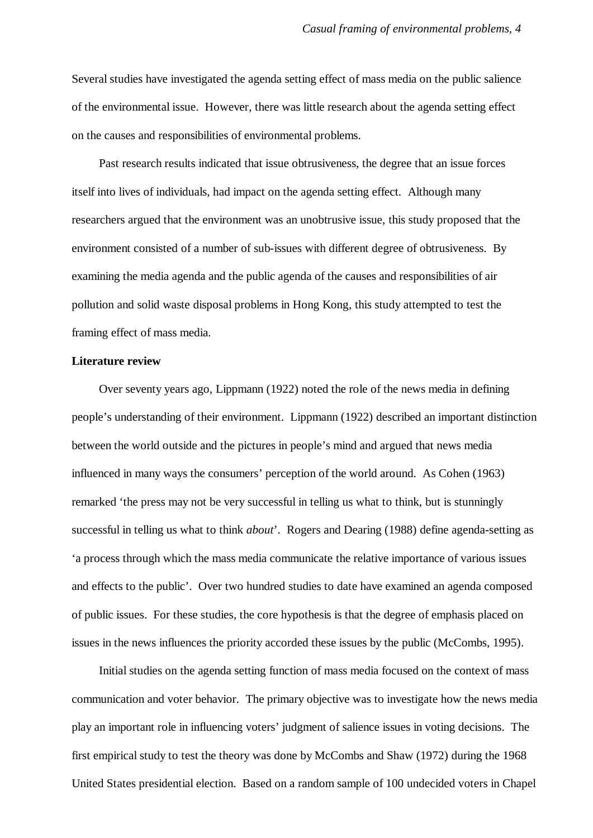Several studies have investigated the agenda setting effect of mass media on the public salience of the environmental issue. However, there was little research about the agenda setting effect on the causes and responsibilities of environmental problems.

Past research results indicated that issue obtrusiveness, the degree that an issue forces itself into lives of individuals, had impact on the agenda setting effect. Although many researchers argued that the environment was an unobtrusive issue, this study proposed that the environment consisted of a number of sub-issues with different degree of obtrusiveness. By examining the media agenda and the public agenda of the causes and responsibilities of air pollution and solid waste disposal problems in Hong Kong, this study attempted to test the framing effect of mass media.

#### **Literature review**

Over seventy years ago, Lippmann (1922) noted the role of the news media in defining people's understanding of their environment. Lippmann (1922) described an important distinction between the world outside and the pictures in people's mind and argued that news media influenced in many ways the consumers' perception of the world around. As Cohen (1963) remarked 'the press may not be very successful in telling us what to think, but is stunningly successful in telling us what to think *about*'. Rogers and Dearing (1988) define agenda-setting as 'a process through which the mass media communicate the relative importance of various issues and effects to the public'. Over two hundred studies to date have examined an agenda composed of public issues. For these studies, the core hypothesis is that the degree of emphasis placed on issues in the news influences the priority accorded these issues by the public (McCombs, 1995).

Initial studies on the agenda setting function of mass media focused on the context of mass communication and voter behavior. The primary objective was to investigate how the news media play an important role in influencing voters' judgment of salience issues in voting decisions. The first empirical study to test the theory was done by McCombs and Shaw (1972) during the 1968 United States presidential election. Based on a random sample of 100 undecided voters in Chapel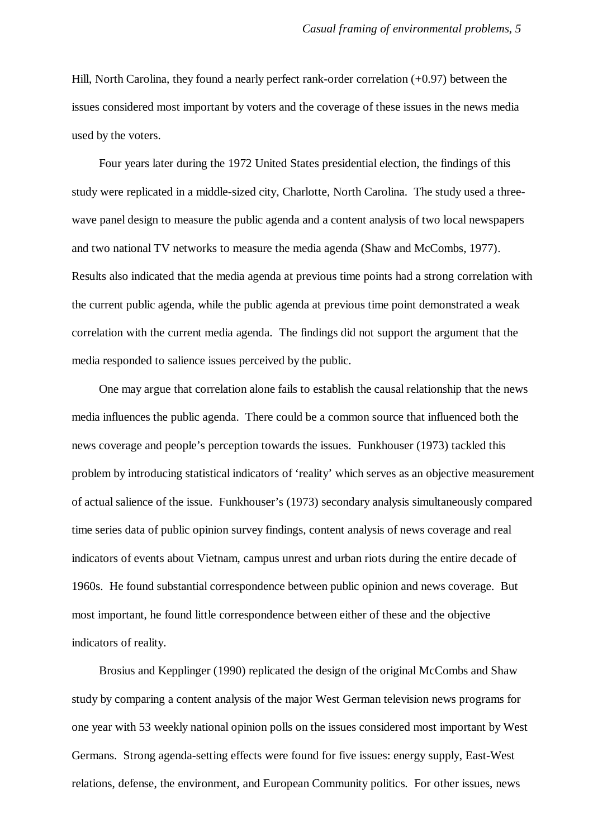Hill, North Carolina, they found a nearly perfect rank-order correlation (+0.97) between the issues considered most important by voters and the coverage of these issues in the news media used by the voters.

Four years later during the 1972 United States presidential election, the findings of this study were replicated in a middle-sized city, Charlotte, North Carolina. The study used a threewave panel design to measure the public agenda and a content analysis of two local newspapers and two national TV networks to measure the media agenda (Shaw and McCombs, 1977). Results also indicated that the media agenda at previous time points had a strong correlation with the current public agenda, while the public agenda at previous time point demonstrated a weak correlation with the current media agenda. The findings did not support the argument that the media responded to salience issues perceived by the public.

One may argue that correlation alone fails to establish the causal relationship that the news media influences the public agenda. There could be a common source that influenced both the news coverage and people's perception towards the issues. Funkhouser (1973) tackled this problem by introducing statistical indicators of 'reality' which serves as an objective measurement of actual salience of the issue. Funkhouser's (1973) secondary analysis simultaneously compared time series data of public opinion survey findings, content analysis of news coverage and real indicators of events about Vietnam, campus unrest and urban riots during the entire decade of 1960s. He found substantial correspondence between public opinion and news coverage. But most important, he found little correspondence between either of these and the objective indicators of reality.

Brosius and Kepplinger (1990) replicated the design of the original McCombs and Shaw study by comparing a content analysis of the major West German television news programs for one year with 53 weekly national opinion polls on the issues considered most important by West Germans. Strong agenda-setting effects were found for five issues: energy supply, East-West relations, defense, the environment, and European Community politics. For other issues, news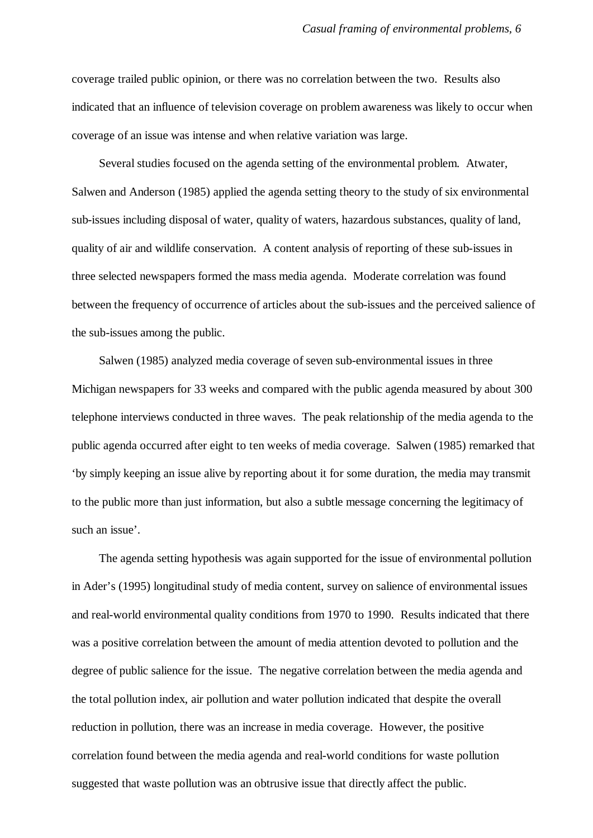coverage trailed public opinion, or there was no correlation between the two. Results also indicated that an influence of television coverage on problem awareness was likely to occur when coverage of an issue was intense and when relative variation was large.

Several studies focused on the agenda setting of the environmental problem. Atwater, Salwen and Anderson (1985) applied the agenda setting theory to the study of six environmental sub-issues including disposal of water, quality of waters, hazardous substances, quality of land, quality of air and wildlife conservation. A content analysis of reporting of these sub-issues in three selected newspapers formed the mass media agenda. Moderate correlation was found between the frequency of occurrence of articles about the sub-issues and the perceived salience of the sub-issues among the public.

Salwen (1985) analyzed media coverage of seven sub-environmental issues in three Michigan newspapers for 33 weeks and compared with the public agenda measured by about 300 telephone interviews conducted in three waves. The peak relationship of the media agenda to the public agenda occurred after eight to ten weeks of media coverage. Salwen (1985) remarked that 'by simply keeping an issue alive by reporting about it for some duration, the media may transmit to the public more than just information, but also a subtle message concerning the legitimacy of such an issue'.

The agenda setting hypothesis was again supported for the issue of environmental pollution in Ader's (1995) longitudinal study of media content, survey on salience of environmental issues and real-world environmental quality conditions from 1970 to 1990. Results indicated that there was a positive correlation between the amount of media attention devoted to pollution and the degree of public salience for the issue. The negative correlation between the media agenda and the total pollution index, air pollution and water pollution indicated that despite the overall reduction in pollution, there was an increase in media coverage. However, the positive correlation found between the media agenda and real-world conditions for waste pollution suggested that waste pollution was an obtrusive issue that directly affect the public.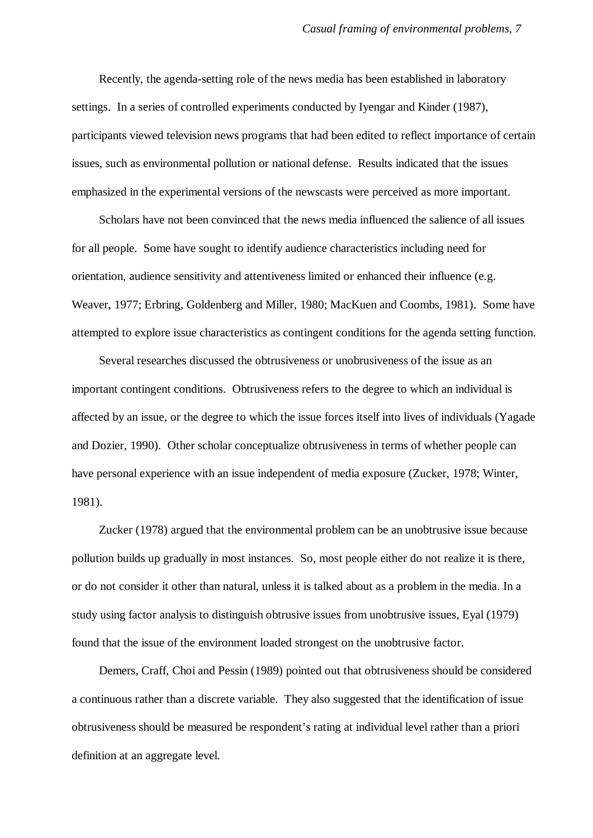Recently, the agenda-setting role of the news media has been established in laboratory settings. In a series of controlled experiments conducted by Iyengar and Kinder (1987), participants viewed television news programs that had been edited to reflect importance of certain issues, such as environmental pollution or national defense. Results indicated that the issues emphasized in the experimental versions of the newscasts were perceived as more important.

Scholars have not been convinced that the news media influenced the salience of all issues for all people. Some have sought to identify audience characteristics including need for orientation, audience sensitivity and attentiveness limited or enhanced their influence (e.g. Weaver, 1977; Erbring, Goldenberg and Miller, 1980; MacKuen and Coombs, 1981). Some have attempted to explore issue characteristics as contingent conditions for the agenda setting function.

Several researches discussed the obtrusiveness or unobrusiveness of the issue as an important contingent conditions. Obtrusiveness refers to the degree to which an individual is affected by an issue, or the degree to which the issue forces itself into lives of individuals (Yagade and Dozier, 1990). Other scholar conceptualize obtrusiveness in terms of whether people can have personal experience with an issue independent of media exposure (Zucker, 1978; Winter, 1981).

Zucker (1978) argued that the environmental problem can be an unobtrusive issue because pollution builds up gradually in most instances. So, most people either do not realize it is there, or do not consider it other than natural, unless it is talked about as a problem in the media. In a study using factor analysis to distinguish obtrusive issues from unobtrusive issues, Eyal (1979) found that the issue of the environment loaded strongest on the unobtrusive factor.

Demers, Craff, Choi and Pessin (1989) pointed out that obtrusiveness should be considered a continuous rather than a discrete variable. They also suggested that the identification of issue obtrusiveness should be measured be respondent's rating at individual level rather than a priori definition at an aggregate level.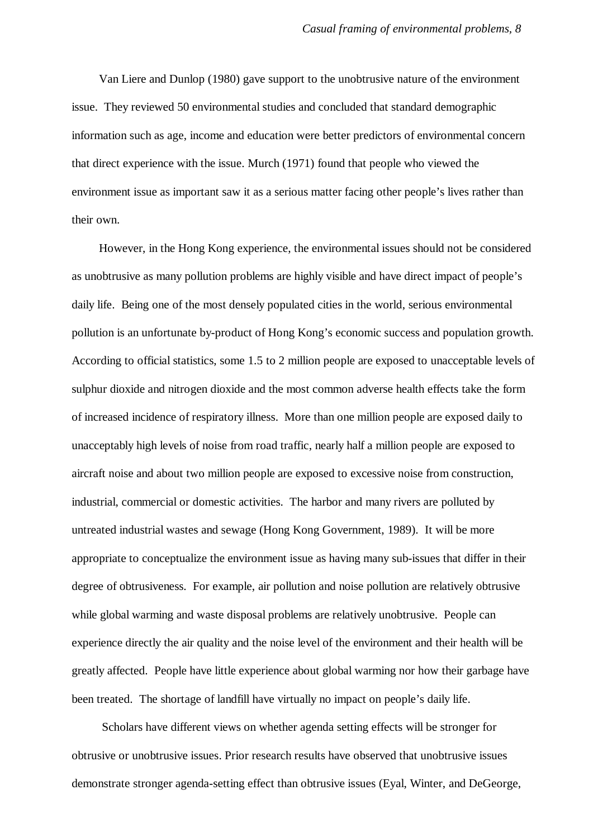Van Liere and Dunlop (1980) gave support to the unobtrusive nature of the environment issue. They reviewed 50 environmental studies and concluded that standard demographic information such as age, income and education were better predictors of environmental concern that direct experience with the issue. Murch (1971) found that people who viewed the environment issue as important saw it as a serious matter facing other people's lives rather than their own.

However, in the Hong Kong experience, the environmental issues should not be considered as unobtrusive as many pollution problems are highly visible and have direct impact of people's daily life. Being one of the most densely populated cities in the world, serious environmental pollution is an unfortunate by-product of Hong Kong's economic success and population growth. According to official statistics, some 1.5 to 2 million people are exposed to unacceptable levels of sulphur dioxide and nitrogen dioxide and the most common adverse health effects take the form of increased incidence of respiratory illness. More than one million people are exposed daily to unacceptably high levels of noise from road traffic, nearly half a million people are exposed to aircraft noise and about two million people are exposed to excessive noise from construction, industrial, commercial or domestic activities. The harbor and many rivers are polluted by untreated industrial wastes and sewage (Hong Kong Government, 1989). It will be more appropriate to conceptualize the environment issue as having many sub-issues that differ in their degree of obtrusiveness. For example, air pollution and noise pollution are relatively obtrusive while global warming and waste disposal problems are relatively unobtrusive. People can experience directly the air quality and the noise level of the environment and their health will be greatly affected. People have little experience about global warming nor how their garbage have been treated. The shortage of landfill have virtually no impact on people's daily life.

 Scholars have different views on whether agenda setting effects will be stronger for obtrusive or unobtrusive issues. Prior research results have observed that unobtrusive issues demonstrate stronger agenda-setting effect than obtrusive issues (Eyal, Winter, and DeGeorge,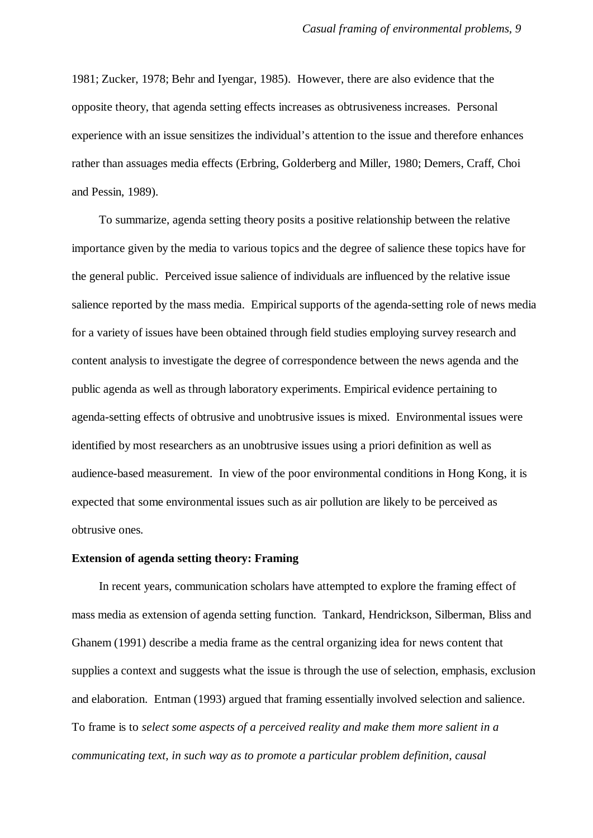1981; Zucker, 1978; Behr and Iyengar, 1985). However, there are also evidence that the opposite theory, that agenda setting effects increases as obtrusiveness increases. Personal experience with an issue sensitizes the individual's attention to the issue and therefore enhances rather than assuages media effects (Erbring, Golderberg and Miller, 1980; Demers, Craff, Choi and Pessin, 1989).

To summarize, agenda setting theory posits a positive relationship between the relative importance given by the media to various topics and the degree of salience these topics have for the general public. Perceived issue salience of individuals are influenced by the relative issue salience reported by the mass media. Empirical supports of the agenda-setting role of news media for a variety of issues have been obtained through field studies employing survey research and content analysis to investigate the degree of correspondence between the news agenda and the public agenda as well as through laboratory experiments. Empirical evidence pertaining to agenda-setting effects of obtrusive and unobtrusive issues is mixed. Environmental issues were identified by most researchers as an unobtrusive issues using a priori definition as well as audience-based measurement. In view of the poor environmental conditions in Hong Kong, it is expected that some environmental issues such as air pollution are likely to be perceived as obtrusive ones.

#### **Extension of agenda setting theory: Framing**

In recent years, communication scholars have attempted to explore the framing effect of mass media as extension of agenda setting function. Tankard, Hendrickson, Silberman, Bliss and Ghanem (1991) describe a media frame as the central organizing idea for news content that supplies a context and suggests what the issue is through the use of selection, emphasis, exclusion and elaboration. Entman (1993) argued that framing essentially involved selection and salience. To frame is to *select some aspects of a perceived reality and make them more salient in a communicating text, in such way as to promote a particular problem definition, causal*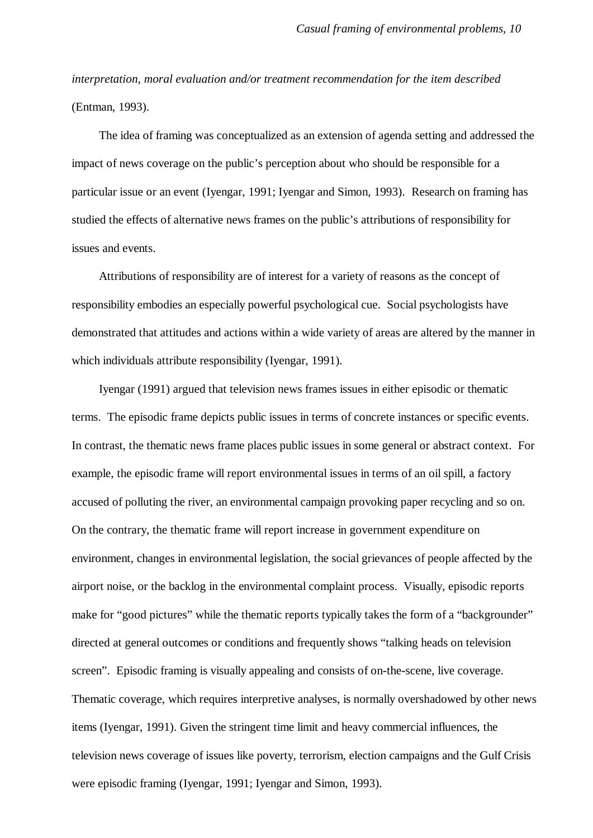*interpretation, moral evaluation and/or treatment recommendation for the item described* (Entman, 1993).

The idea of framing was conceptualized as an extension of agenda setting and addressed the impact of news coverage on the public's perception about who should be responsible for a particular issue or an event (Iyengar, 1991; Iyengar and Simon, 1993). Research on framing has studied the effects of alternative news frames on the public's attributions of responsibility for issues and events.

Attributions of responsibility are of interest for a variety of reasons as the concept of responsibility embodies an especially powerful psychological cue. Social psychologists have demonstrated that attitudes and actions within a wide variety of areas are altered by the manner in which individuals attribute responsibility (Iyengar, 1991).

Iyengar (1991) argued that television news frames issues in either episodic or thematic terms. The episodic frame depicts public issues in terms of concrete instances or specific events. In contrast, the thematic news frame places public issues in some general or abstract context. For example, the episodic frame will report environmental issues in terms of an oil spill, a factory accused of polluting the river, an environmental campaign provoking paper recycling and so on. On the contrary, the thematic frame will report increase in government expenditure on environment, changes in environmental legislation, the social grievances of people affected by the airport noise, or the backlog in the environmental complaint process. Visually, episodic reports make for "good pictures" while the thematic reports typically takes the form of a "backgrounder" directed at general outcomes or conditions and frequently shows "talking heads on television screen". Episodic framing is visually appealing and consists of on-the-scene, live coverage. Thematic coverage, which requires interpretive analyses, is normally overshadowed by other news items (Iyengar, 1991). Given the stringent time limit and heavy commercial influences, the television news coverage of issues like poverty, terrorism, election campaigns and the Gulf Crisis were episodic framing (Iyengar, 1991; Iyengar and Simon, 1993).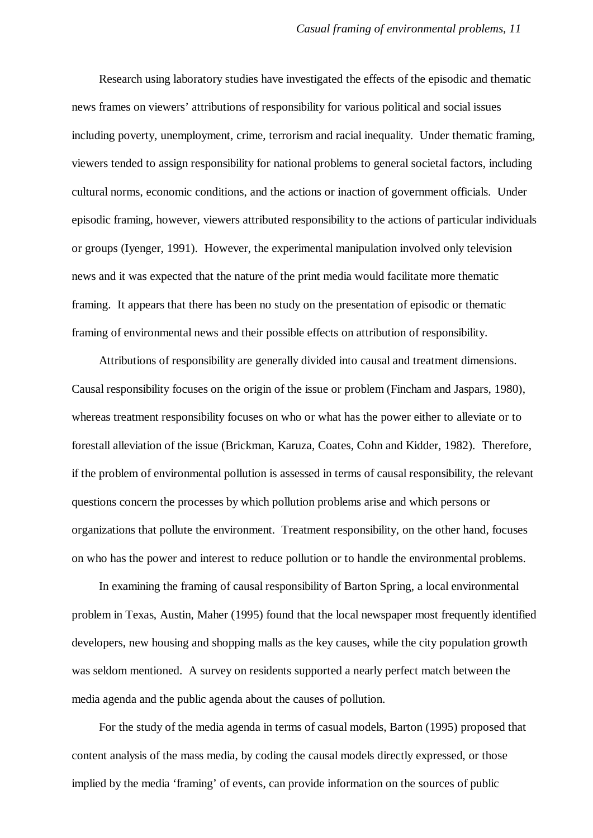Research using laboratory studies have investigated the effects of the episodic and thematic news frames on viewers' attributions of responsibility for various political and social issues including poverty, unemployment, crime, terrorism and racial inequality. Under thematic framing, viewers tended to assign responsibility for national problems to general societal factors, including cultural norms, economic conditions, and the actions or inaction of government officials. Under episodic framing, however, viewers attributed responsibility to the actions of particular individuals or groups (Iyenger, 1991). However, the experimental manipulation involved only television news and it was expected that the nature of the print media would facilitate more thematic framing. It appears that there has been no study on the presentation of episodic or thematic framing of environmental news and their possible effects on attribution of responsibility.

Attributions of responsibility are generally divided into causal and treatment dimensions. Causal responsibility focuses on the origin of the issue or problem (Fincham and Jaspars, 1980), whereas treatment responsibility focuses on who or what has the power either to alleviate or to forestall alleviation of the issue (Brickman, Karuza, Coates, Cohn and Kidder, 1982). Therefore, if the problem of environmental pollution is assessed in terms of causal responsibility, the relevant questions concern the processes by which pollution problems arise and which persons or organizations that pollute the environment. Treatment responsibility, on the other hand, focuses on who has the power and interest to reduce pollution or to handle the environmental problems.

In examining the framing of causal responsibility of Barton Spring, a local environmental problem in Texas, Austin, Maher (1995) found that the local newspaper most frequently identified developers, new housing and shopping malls as the key causes, while the city population growth was seldom mentioned. A survey on residents supported a nearly perfect match between the media agenda and the public agenda about the causes of pollution.

For the study of the media agenda in terms of casual models, Barton (1995) proposed that content analysis of the mass media, by coding the causal models directly expressed, or those implied by the media 'framing' of events, can provide information on the sources of public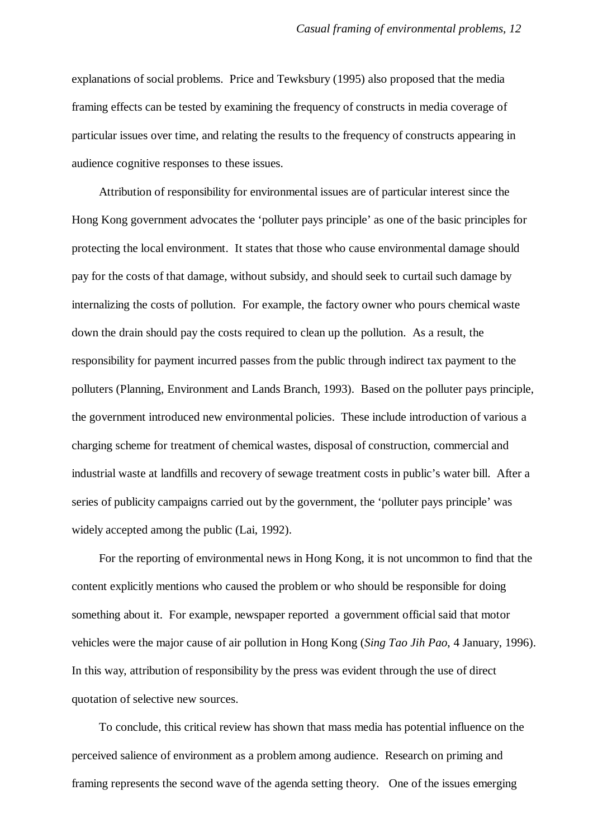explanations of social problems. Price and Tewksbury (1995) also proposed that the media framing effects can be tested by examining the frequency of constructs in media coverage of particular issues over time, and relating the results to the frequency of constructs appearing in audience cognitive responses to these issues.

Attribution of responsibility for environmental issues are of particular interest since the Hong Kong government advocates the 'polluter pays principle' as one of the basic principles for protecting the local environment. It states that those who cause environmental damage should pay for the costs of that damage, without subsidy, and should seek to curtail such damage by internalizing the costs of pollution. For example, the factory owner who pours chemical waste down the drain should pay the costs required to clean up the pollution. As a result, the responsibility for payment incurred passes from the public through indirect tax payment to the polluters (Planning, Environment and Lands Branch, 1993). Based on the polluter pays principle, the government introduced new environmental policies. These include introduction of various a charging scheme for treatment of chemical wastes, disposal of construction, commercial and industrial waste at landfills and recovery of sewage treatment costs in public's water bill. After a series of publicity campaigns carried out by the government, the 'polluter pays principle' was widely accepted among the public (Lai, 1992).

For the reporting of environmental news in Hong Kong, it is not uncommon to find that the content explicitly mentions who caused the problem or who should be responsible for doing something about it. For example, newspaper reported a government official said that motor vehicles were the major cause of air pollution in Hong Kong (*Sing Tao Jih Pao*, 4 January, 1996). In this way, attribution of responsibility by the press was evident through the use of direct quotation of selective new sources.

To conclude, this critical review has shown that mass media has potential influence on the perceived salience of environment as a problem among audience. Research on priming and framing represents the second wave of the agenda setting theory. One of the issues emerging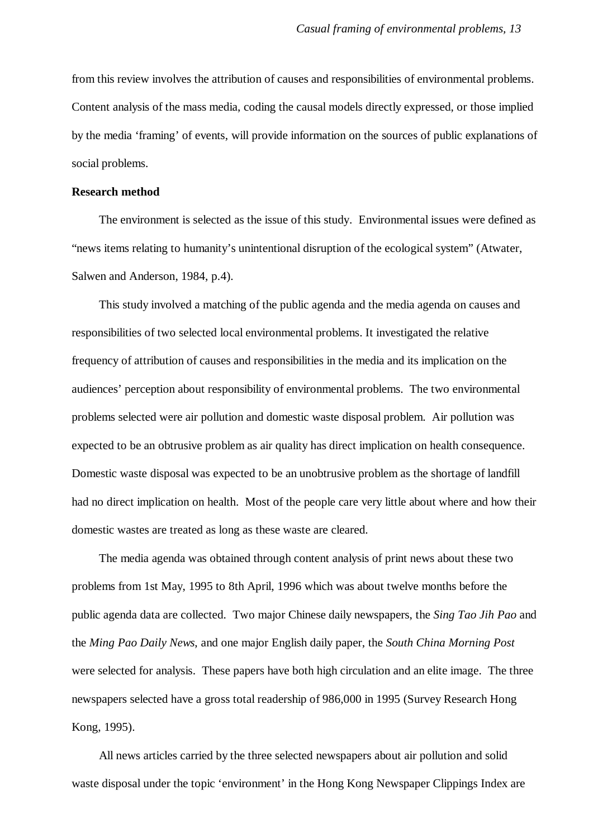from this review involves the attribution of causes and responsibilities of environmental problems. Content analysis of the mass media, coding the causal models directly expressed, or those implied by the media 'framing' of events, will provide information on the sources of public explanations of social problems.

## **Research method**

The environment is selected as the issue of this study. Environmental issues were defined as "news items relating to humanity's unintentional disruption of the ecological system" (Atwater, Salwen and Anderson, 1984, p.4).

This study involved a matching of the public agenda and the media agenda on causes and responsibilities of two selected local environmental problems. It investigated the relative frequency of attribution of causes and responsibilities in the media and its implication on the audiences' perception about responsibility of environmental problems. The two environmental problems selected were air pollution and domestic waste disposal problem. Air pollution was expected to be an obtrusive problem as air quality has direct implication on health consequence. Domestic waste disposal was expected to be an unobtrusive problem as the shortage of landfill had no direct implication on health. Most of the people care very little about where and how their domestic wastes are treated as long as these waste are cleared.

The media agenda was obtained through content analysis of print news about these two problems from 1st May, 1995 to 8th April, 1996 which was about twelve months before the public agenda data are collected. Two major Chinese daily newspapers, the *Sing Tao Jih Pao* and the *Ming Pao Daily News*, and one major English daily paper, the *South China Morning Post* were selected for analysis. These papers have both high circulation and an elite image. The three newspapers selected have a gross total readership of 986,000 in 1995 (Survey Research Hong Kong, 1995).

All news articles carried by the three selected newspapers about air pollution and solid waste disposal under the topic 'environment' in the Hong Kong Newspaper Clippings Index are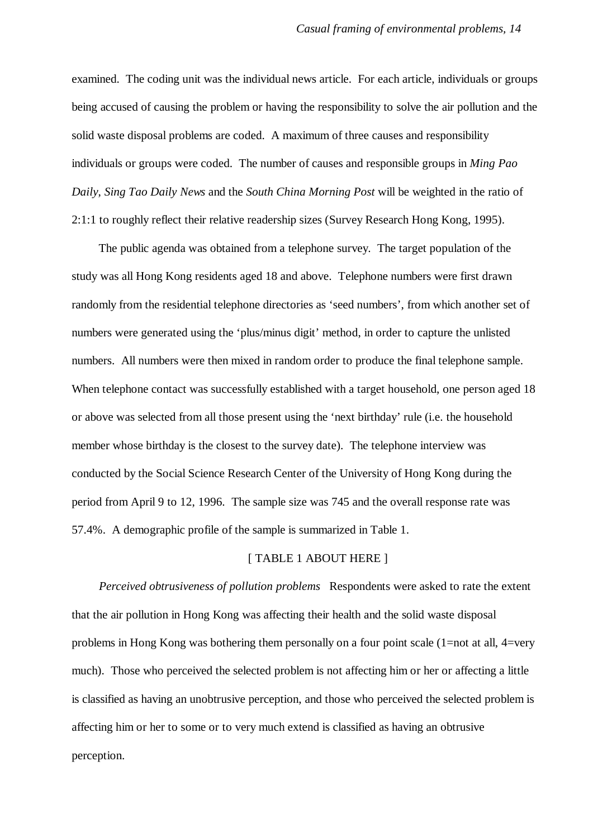examined. The coding unit was the individual news article. For each article, individuals or groups being accused of causing the problem or having the responsibility to solve the air pollution and the solid waste disposal problems are coded. A maximum of three causes and responsibility individuals or groups were coded. The number of causes and responsible groups in *Ming Pao Daily*, *Sing Tao Daily News* and the *South China Morning Post* will be weighted in the ratio of 2:1:1 to roughly reflect their relative readership sizes (Survey Research Hong Kong, 1995).

The public agenda was obtained from a telephone survey. The target population of the study was all Hong Kong residents aged 18 and above. Telephone numbers were first drawn randomly from the residential telephone directories as 'seed numbers', from which another set of numbers were generated using the 'plus/minus digit' method, in order to capture the unlisted numbers. All numbers were then mixed in random order to produce the final telephone sample. When telephone contact was successfully established with a target household, one person aged 18 or above was selected from all those present using the 'next birthday' rule (i.e. the household member whose birthday is the closest to the survey date). The telephone interview was conducted by the Social Science Research Center of the University of Hong Kong during the period from April 9 to 12, 1996. The sample size was 745 and the overall response rate was 57.4%. A demographic profile of the sample is summarized in Table 1.

## [ TABLE 1 ABOUT HERE ]

*Perceived obtrusiveness of pollution problems* Respondents were asked to rate the extent that the air pollution in Hong Kong was affecting their health and the solid waste disposal problems in Hong Kong was bothering them personally on a four point scale (1=not at all, 4=very much). Those who perceived the selected problem is not affecting him or her or affecting a little is classified as having an unobtrusive perception, and those who perceived the selected problem is affecting him or her to some or to very much extend is classified as having an obtrusive perception.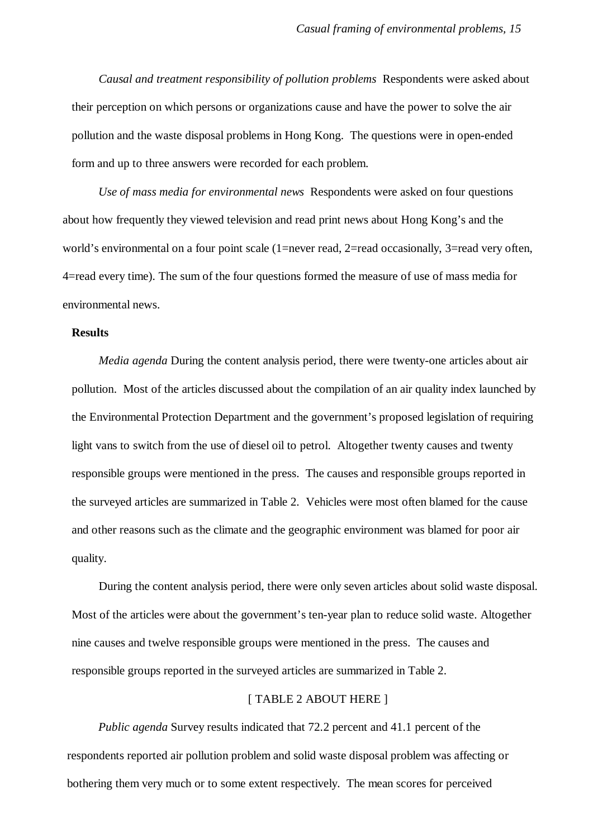*Causal and treatment responsibility of pollution problems* Respondents were asked about their perception on which persons or organizations cause and have the power to solve the air pollution and the waste disposal problems in Hong Kong. The questions were in open-ended form and up to three answers were recorded for each problem.

*Use of mass media for environmental news* Respondents were asked on four questions about how frequently they viewed television and read print news about Hong Kong's and the world's environmental on a four point scale (1=never read, 2=read occasionally, 3=read very often, 4=read every time). The sum of the four questions formed the measure of use of mass media for environmental news.

## **Results**

*Media agenda* During the content analysis period, there were twenty-one articles about air pollution. Most of the articles discussed about the compilation of an air quality index launched by the Environmental Protection Department and the government's proposed legislation of requiring light vans to switch from the use of diesel oil to petrol. Altogether twenty causes and twenty responsible groups were mentioned in the press. The causes and responsible groups reported in the surveyed articles are summarized in Table 2. Vehicles were most often blamed for the cause and other reasons such as the climate and the geographic environment was blamed for poor air quality.

During the content analysis period, there were only seven articles about solid waste disposal. Most of the articles were about the government's ten-year plan to reduce solid waste. Altogether nine causes and twelve responsible groups were mentioned in the press. The causes and responsible groups reported in the surveyed articles are summarized in Table 2.

#### [ TABLE 2 ABOUT HERE ]

*Public agenda* Survey results indicated that 72.2 percent and 41.1 percent of the respondents reported air pollution problem and solid waste disposal problem was affecting or bothering them very much or to some extent respectively. The mean scores for perceived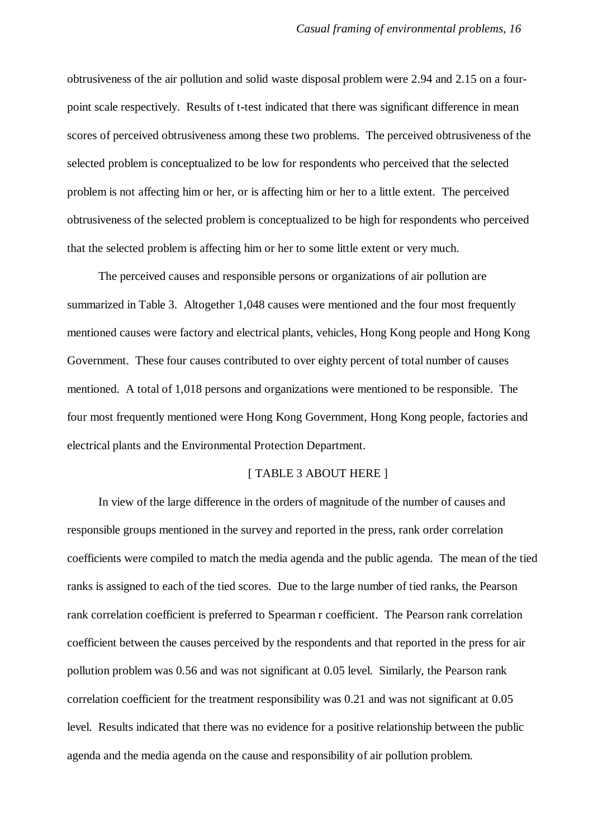obtrusiveness of the air pollution and solid waste disposal problem were 2.94 and 2.15 on a fourpoint scale respectively. Results of t-test indicated that there was significant difference in mean scores of perceived obtrusiveness among these two problems. The perceived obtrusiveness of the selected problem is conceptualized to be low for respondents who perceived that the selected problem is not affecting him or her, or is affecting him or her to a little extent. The perceived obtrusiveness of the selected problem is conceptualized to be high for respondents who perceived that the selected problem is affecting him or her to some little extent or very much.

The perceived causes and responsible persons or organizations of air pollution are summarized in Table 3. Altogether 1,048 causes were mentioned and the four most frequently mentioned causes were factory and electrical plants, vehicles, Hong Kong people and Hong Kong Government. These four causes contributed to over eighty percent of total number of causes mentioned. A total of 1,018 persons and organizations were mentioned to be responsible. The four most frequently mentioned were Hong Kong Government, Hong Kong people, factories and electrical plants and the Environmental Protection Department.

## [ TABLE 3 ABOUT HERE ]

In view of the large difference in the orders of magnitude of the number of causes and responsible groups mentioned in the survey and reported in the press, rank order correlation coefficients were compiled to match the media agenda and the public agenda. The mean of the tied ranks is assigned to each of the tied scores. Due to the large number of tied ranks, the Pearson rank correlation coefficient is preferred to Spearman r coefficient. The Pearson rank correlation coefficient between the causes perceived by the respondents and that reported in the press for air pollution problem was 0.56 and was not significant at 0.05 level. Similarly, the Pearson rank correlation coefficient for the treatment responsibility was 0.21 and was not significant at 0.05 level. Results indicated that there was no evidence for a positive relationship between the public agenda and the media agenda on the cause and responsibility of air pollution problem.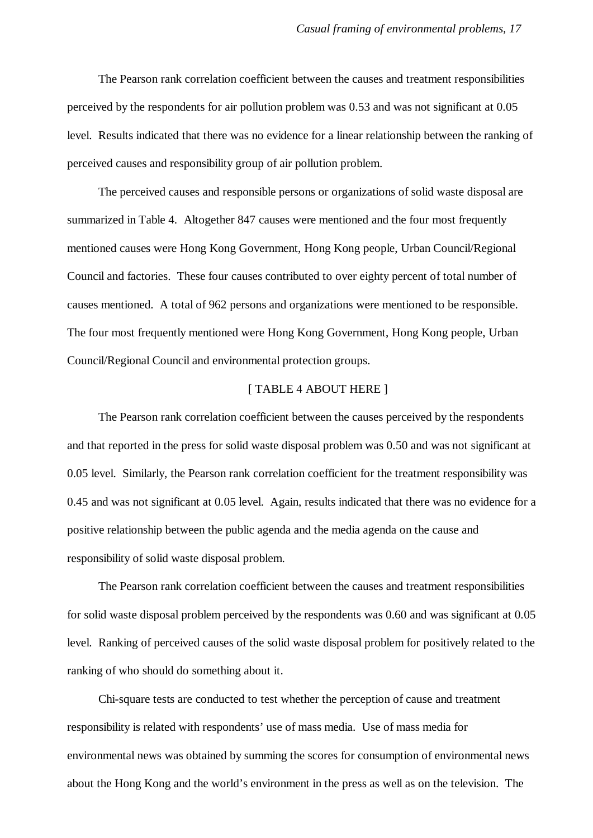The Pearson rank correlation coefficient between the causes and treatment responsibilities perceived by the respondents for air pollution problem was 0.53 and was not significant at 0.05 level. Results indicated that there was no evidence for a linear relationship between the ranking of perceived causes and responsibility group of air pollution problem.

The perceived causes and responsible persons or organizations of solid waste disposal are summarized in Table 4. Altogether 847 causes were mentioned and the four most frequently mentioned causes were Hong Kong Government, Hong Kong people, Urban Council/Regional Council and factories. These four causes contributed to over eighty percent of total number of causes mentioned. A total of 962 persons and organizations were mentioned to be responsible. The four most frequently mentioned were Hong Kong Government, Hong Kong people, Urban Council/Regional Council and environmental protection groups.

## [ TABLE 4 ABOUT HERE ]

The Pearson rank correlation coefficient between the causes perceived by the respondents and that reported in the press for solid waste disposal problem was 0.50 and was not significant at 0.05 level. Similarly, the Pearson rank correlation coefficient for the treatment responsibility was 0.45 and was not significant at 0.05 level. Again, results indicated that there was no evidence for a positive relationship between the public agenda and the media agenda on the cause and responsibility of solid waste disposal problem.

The Pearson rank correlation coefficient between the causes and treatment responsibilities for solid waste disposal problem perceived by the respondents was 0.60 and was significant at 0.05 level. Ranking of perceived causes of the solid waste disposal problem for positively related to the ranking of who should do something about it.

Chi-square tests are conducted to test whether the perception of cause and treatment responsibility is related with respondents' use of mass media. Use of mass media for environmental news was obtained by summing the scores for consumption of environmental news about the Hong Kong and the world's environment in the press as well as on the television. The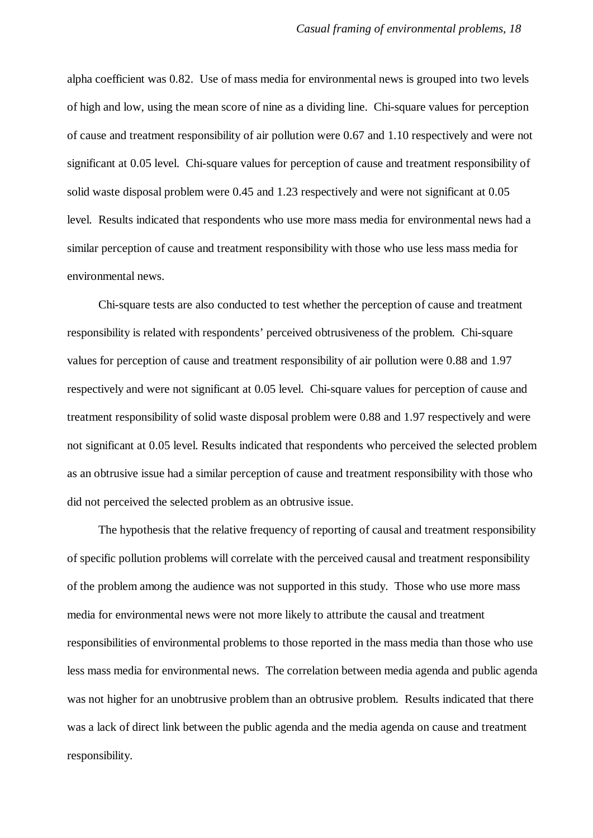alpha coefficient was 0.82. Use of mass media for environmental news is grouped into two levels of high and low, using the mean score of nine as a dividing line. Chi-square values for perception of cause and treatment responsibility of air pollution were 0.67 and 1.10 respectively and were not significant at 0.05 level. Chi-square values for perception of cause and treatment responsibility of solid waste disposal problem were 0.45 and 1.23 respectively and were not significant at 0.05 level. Results indicated that respondents who use more mass media for environmental news had a similar perception of cause and treatment responsibility with those who use less mass media for environmental news.

Chi-square tests are also conducted to test whether the perception of cause and treatment responsibility is related with respondents' perceived obtrusiveness of the problem. Chi-square values for perception of cause and treatment responsibility of air pollution were 0.88 and 1.97 respectively and were not significant at 0.05 level. Chi-square values for perception of cause and treatment responsibility of solid waste disposal problem were 0.88 and 1.97 respectively and were not significant at 0.05 level. Results indicated that respondents who perceived the selected problem as an obtrusive issue had a similar perception of cause and treatment responsibility with those who did not perceived the selected problem as an obtrusive issue.

The hypothesis that the relative frequency of reporting of causal and treatment responsibility of specific pollution problems will correlate with the perceived causal and treatment responsibility of the problem among the audience was not supported in this study. Those who use more mass media for environmental news were not more likely to attribute the causal and treatment responsibilities of environmental problems to those reported in the mass media than those who use less mass media for environmental news. The correlation between media agenda and public agenda was not higher for an unobtrusive problem than an obtrusive problem. Results indicated that there was a lack of direct link between the public agenda and the media agenda on cause and treatment responsibility.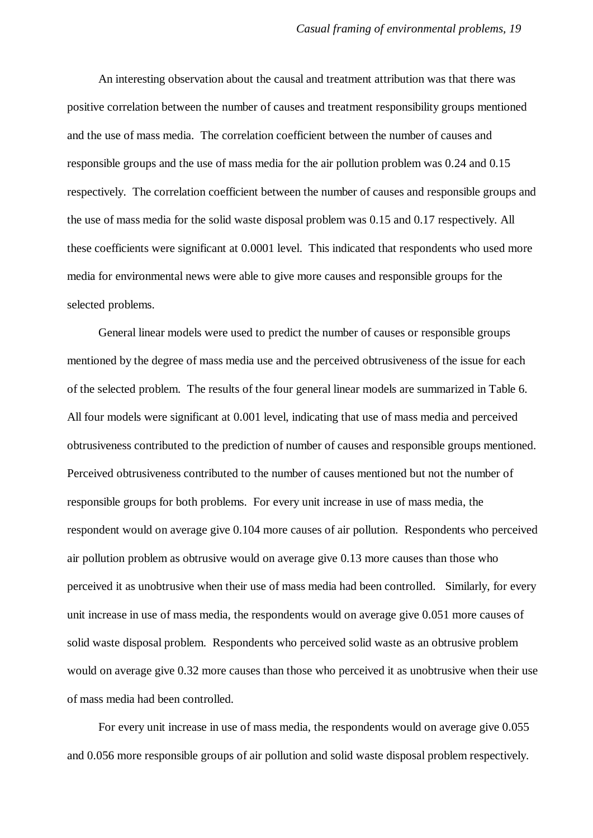An interesting observation about the causal and treatment attribution was that there was positive correlation between the number of causes and treatment responsibility groups mentioned and the use of mass media. The correlation coefficient between the number of causes and responsible groups and the use of mass media for the air pollution problem was 0.24 and 0.15 respectively. The correlation coefficient between the number of causes and responsible groups and the use of mass media for the solid waste disposal problem was 0.15 and 0.17 respectively. All these coefficients were significant at 0.0001 level. This indicated that respondents who used more media for environmental news were able to give more causes and responsible groups for the selected problems.

General linear models were used to predict the number of causes or responsible groups mentioned by the degree of mass media use and the perceived obtrusiveness of the issue for each of the selected problem. The results of the four general linear models are summarized in Table 6. All four models were significant at 0.001 level, indicating that use of mass media and perceived obtrusiveness contributed to the prediction of number of causes and responsible groups mentioned. Perceived obtrusiveness contributed to the number of causes mentioned but not the number of responsible groups for both problems. For every unit increase in use of mass media, the respondent would on average give 0.104 more causes of air pollution. Respondents who perceived air pollution problem as obtrusive would on average give 0.13 more causes than those who perceived it as unobtrusive when their use of mass media had been controlled. Similarly, for every unit increase in use of mass media, the respondents would on average give 0.051 more causes of solid waste disposal problem. Respondents who perceived solid waste as an obtrusive problem would on average give 0.32 more causes than those who perceived it as unobtrusive when their use of mass media had been controlled.

For every unit increase in use of mass media, the respondents would on average give 0.055 and 0.056 more responsible groups of air pollution and solid waste disposal problem respectively.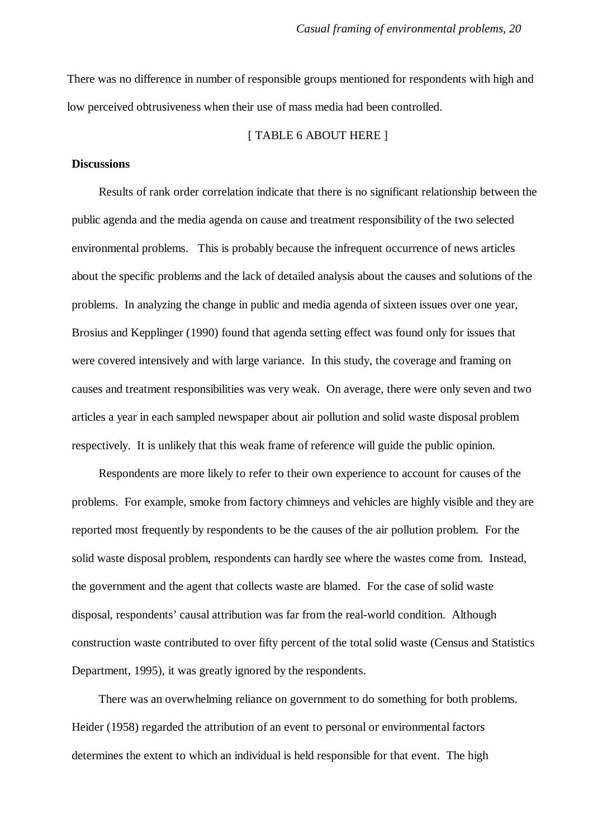There was no difference in number of responsible groups mentioned for respondents with high and low perceived obtrusiveness when their use of mass media had been controlled.

#### [ TABLE 6 ABOUT HERE ]

## **Discussions**

Results of rank order correlation indicate that there is no significant relationship between the public agenda and the media agenda on cause and treatment responsibility of the two selected environmental problems. This is probably because the infrequent occurrence of news articles about the specific problems and the lack of detailed analysis about the causes and solutions of the problems. In analyzing the change in public and media agenda of sixteen issues over one year, Brosius and Kepplinger (1990) found that agenda setting effect was found only for issues that were covered intensively and with large variance. In this study, the coverage and framing on causes and treatment responsibilities was very weak. On average, there were only seven and two articles a year in each sampled newspaper about air pollution and solid waste disposal problem respectively. It is unlikely that this weak frame of reference will guide the public opinion.

Respondents are more likely to refer to their own experience to account for causes of the problems. For example, smoke from factory chimneys and vehicles are highly visible and they are reported most frequently by respondents to be the causes of the air pollution problem. For the solid waste disposal problem, respondents can hardly see where the wastes come from. Instead, the government and the agent that collects waste are blamed. For the case of solid waste disposal, respondents' causal attribution was far from the real-world condition. Although construction waste contributed to over fifty percent of the total solid waste (Census and Statistics Department, 1995), it was greatly ignored by the respondents.

There was an overwhelming reliance on government to do something for both problems. Heider (1958) regarded the attribution of an event to personal or environmental factors determines the extent to which an individual is held responsible for that event. The high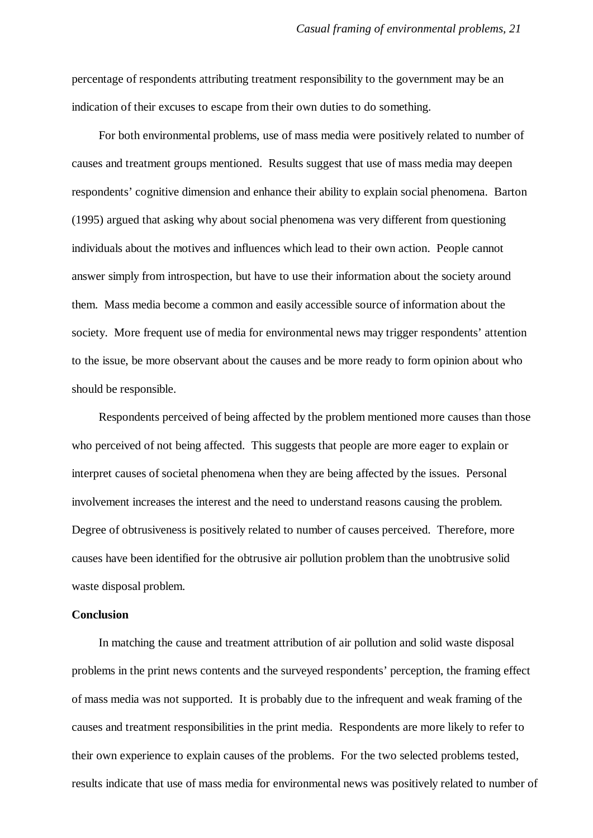percentage of respondents attributing treatment responsibility to the government may be an indication of their excuses to escape from their own duties to do something.

For both environmental problems, use of mass media were positively related to number of causes and treatment groups mentioned. Results suggest that use of mass media may deepen respondents' cognitive dimension and enhance their ability to explain social phenomena. Barton (1995) argued that asking why about social phenomena was very different from questioning individuals about the motives and influences which lead to their own action. People cannot answer simply from introspection, but have to use their information about the society around them. Mass media become a common and easily accessible source of information about the society. More frequent use of media for environmental news may trigger respondents' attention to the issue, be more observant about the causes and be more ready to form opinion about who should be responsible.

Respondents perceived of being affected by the problem mentioned more causes than those who perceived of not being affected. This suggests that people are more eager to explain or interpret causes of societal phenomena when they are being affected by the issues. Personal involvement increases the interest and the need to understand reasons causing the problem. Degree of obtrusiveness is positively related to number of causes perceived. Therefore, more causes have been identified for the obtrusive air pollution problem than the unobtrusive solid waste disposal problem.

## **Conclusion**

In matching the cause and treatment attribution of air pollution and solid waste disposal problems in the print news contents and the surveyed respondents' perception, the framing effect of mass media was not supported. It is probably due to the infrequent and weak framing of the causes and treatment responsibilities in the print media. Respondents are more likely to refer to their own experience to explain causes of the problems. For the two selected problems tested, results indicate that use of mass media for environmental news was positively related to number of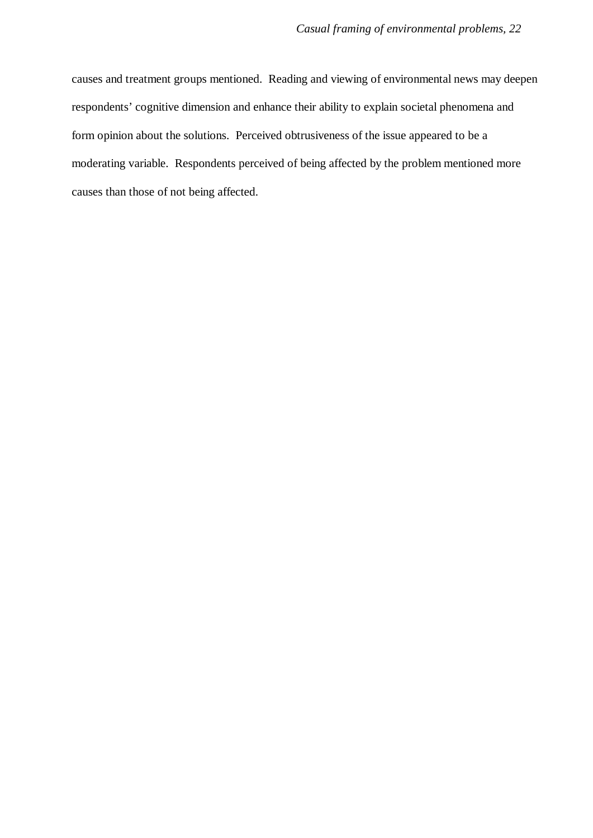causes and treatment groups mentioned. Reading and viewing of environmental news may deepen respondents' cognitive dimension and enhance their ability to explain societal phenomena and form opinion about the solutions. Perceived obtrusiveness of the issue appeared to be a moderating variable. Respondents perceived of being affected by the problem mentioned more causes than those of not being affected.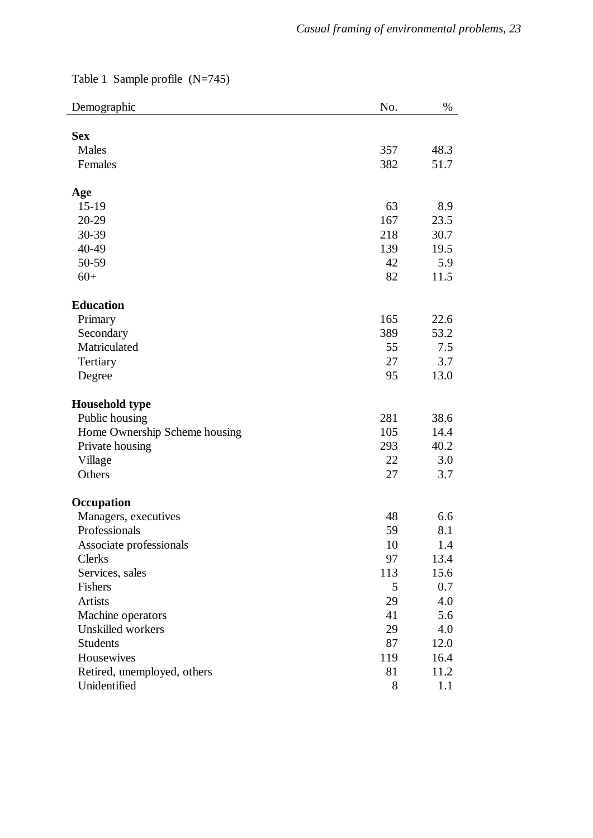Table 1 Sample profile (N=745)

| Demographic                   | No. | $\%$ |
|-------------------------------|-----|------|
|                               |     |      |
| <b>Sex</b>                    |     |      |
| Males                         | 357 | 48.3 |
| Females                       | 382 | 51.7 |
| Age                           |     |      |
| $15-19$                       | 63  | 8.9  |
| 20-29                         | 167 | 23.5 |
| 30-39                         | 218 | 30.7 |
| 40-49                         | 139 | 19.5 |
| 50-59                         | 42  | 5.9  |
| $60+$                         | 82  | 11.5 |
| <b>Education</b>              |     |      |
| Primary                       | 165 | 22.6 |
| Secondary                     | 389 | 53.2 |
| Matriculated                  | 55  | 7.5  |
| Tertiary                      | 27  | 3.7  |
| Degree                        | 95  | 13.0 |
|                               |     |      |
| <b>Household type</b>         |     |      |
| Public housing                | 281 | 38.6 |
| Home Ownership Scheme housing | 105 | 14.4 |
| Private housing               | 293 | 40.2 |
| Village                       | 22  | 3.0  |
| Others                        | 27  | 3.7  |
| Occupation                    |     |      |
| Managers, executives          | 48  | 6.6  |
| Professionals                 | 59  | 8.1  |
| Associate professionals       | 10  | 1.4  |
| Clerks                        | 97  | 13.4 |
| Services, sales               | 113 | 15.6 |
| Fishers                       | 5   | 0.7  |
| <b>Artists</b>                | 29  | 4.0  |
| Machine operators             | 41  | 5.6  |
| Unskilled workers             | 29  | 4.0  |
| <b>Students</b>               | 87  | 12.0 |
| Housewives                    | 119 | 16.4 |
| Retired, unemployed, others   | 81  | 11.2 |
| Unidentified                  | 8   | 1.1  |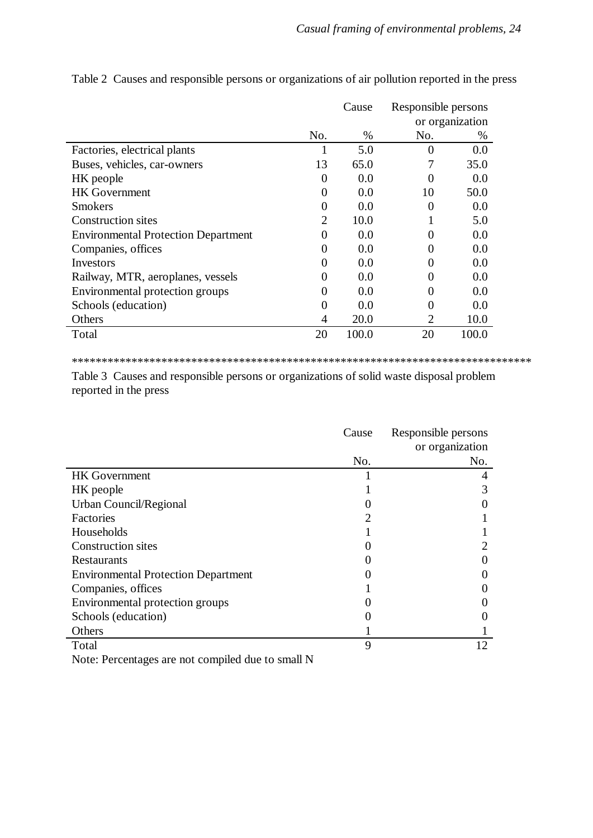|                                            |                | Cause | Responsible persons |                 |
|--------------------------------------------|----------------|-------|---------------------|-----------------|
|                                            |                |       |                     | or organization |
|                                            | No.            | $\%$  | No.                 | %               |
| Factories, electrical plants               |                | 5.0   | $\Omega$            | 0.0             |
| Buses, vehicles, car-owners                | 13             | 65.0  |                     | 35.0            |
| HK people                                  | $\Omega$       | 0.0   |                     | 0.0             |
| <b>HK</b> Government                       | $\Omega$       | 0.0   | 10                  | 50.0            |
| <b>Smokers</b>                             | $\Omega$       | 0.0   | $\Omega$            | 0.0             |
| <b>Construction sites</b>                  | $\overline{2}$ | 10.0  |                     | 5.0             |
| <b>Environmental Protection Department</b> | 0              | 0.0   | 0                   | 0.0             |
| Companies, offices                         | 0              | 0.0   | 0                   | 0.0             |
| Investors                                  | 0              | 0.0   |                     | 0.0             |
| Railway, MTR, aeroplanes, vessels          | 0              | 0.0   | 0                   | 0.0             |
| Environmental protection groups            | 0              | 0.0   | $\Omega$            | 0.0             |
| Schools (education)                        | 0              | 0.0   | 0                   | 0.0             |
| Others                                     | 4              | 20.0  | 2                   | 10.0            |
| Total                                      | 20             | 100.0 | 20                  | 100.0           |

Table 2 Causes and responsible persons or organizations of air pollution reported in the press

\*\*\*\*\*\*\*\*\*\*\*\*\*\*\*\*\*\*\*\*\*\*\*\*\*\*\*\*\*\*\*\*\*\*\*\*\*\*\*\*\*\*\*\*\*\*\*\*\*\*\*\*\*\*\*\*\*\*\*\*\*\*\*\*\*\*\*\*\*\*\*\*\*\*\*\*\*

Table 3 Causes and responsible persons or organizations of solid waste disposal problem reported in the press

|                                            | Cause | Responsible persons |
|--------------------------------------------|-------|---------------------|
|                                            |       | or organization     |
|                                            | No.   | No.                 |
| <b>HK</b> Government                       |       |                     |
| HK people                                  |       |                     |
| Urban Council/Regional                     |       |                     |
| Factories                                  |       |                     |
| Households                                 |       |                     |
| <b>Construction sites</b>                  |       |                     |
| <b>Restaurants</b>                         |       |                     |
| <b>Environmental Protection Department</b> |       |                     |
| Companies, offices                         |       |                     |
| Environmental protection groups            |       |                     |
| Schools (education)                        |       |                     |
| Others                                     |       |                     |
| Total                                      | 9     | 12                  |
|                                            |       |                     |

Note: Percentages are not compiled due to small N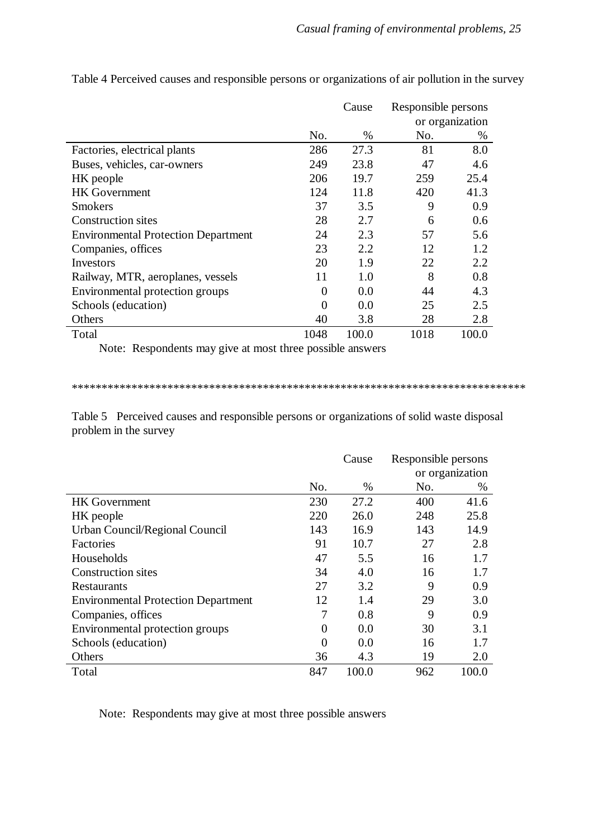|                                            |              | Cause | Responsible persons |                 |
|--------------------------------------------|--------------|-------|---------------------|-----------------|
|                                            |              |       |                     | or organization |
|                                            | No.          | %     | No.                 | $\%$            |
| Factories, electrical plants               | 286          | 27.3  | 81                  | 8.0             |
| Buses, vehicles, car-owners                | 249          | 23.8  | 47                  | 4.6             |
| HK people                                  | 206          | 19.7  | 259                 | 25.4            |
| <b>HK</b> Government                       | 124          | 11.8  | 420                 | 41.3            |
| <b>Smokers</b>                             | 37           | 3.5   | 9                   | 0.9             |
| <b>Construction sites</b>                  | 28           | 2.7   | 6                   | 0.6             |
| <b>Environmental Protection Department</b> | 24           | 2.3   | 57                  | 5.6             |
| Companies, offices                         | 23           | 2.2   | 12                  | 1.2             |
| Investors                                  | 20           | 1.9   | 22                  | 2.2             |
| Railway, MTR, aeroplanes, vessels          | 11           | 1.0   | 8                   | 0.8             |
| Environmental protection groups            | 0            | 0.0   | 44                  | 4.3             |
| Schools (education)                        | $\mathbf{0}$ | 0.0   | 25                  | 2.5             |
| Others                                     | 40           | 3.8   | 28                  | 2.8             |
| Total                                      | 1048         | 100.0 | 1018                | 100.0           |

Table 4 Perceived causes and responsible persons or organizations of air pollution in the survey

Note: Respondents may give at most three possible answers

\*\*\*\*\*\*\*\*\*\*\*\*\*\*\*\*\*\*\*\*\*\*\*\*\*\*\*\*\*\*\*\*\*\*\*\*\*\*\*\*\*\*\*\*\*\*\*\*\*\*\*\*\*\*\*\*\*\*\*\*\*\*\*\*\*\*\*\*\*\*\*\*\*\*\*\*

Table 5 Perceived causes and responsible persons or organizations of solid waste disposal problem in the survey

|                                            |          | Cause | Responsible persons |                 |
|--------------------------------------------|----------|-------|---------------------|-----------------|
|                                            |          |       |                     | or organization |
|                                            | No.      | $\%$  | No.                 | $\%$            |
| <b>HK</b> Government                       | 230      | 27.2  | 400                 | 41.6            |
| HK people                                  | 220      | 26.0  | 248                 | 25.8            |
| Urban Council/Regional Council             | 143      | 16.9  | 143                 | 14.9            |
| Factories                                  | 91       | 10.7  | 27                  | 2.8             |
| Households                                 | 47       | 5.5   | 16                  | 1.7             |
| Construction sites                         | 34       | 4.0   | 16                  | 1.7             |
| Restaurants                                | 27       | 3.2   | 9                   | 0.9             |
| <b>Environmental Protection Department</b> | 12       | 1.4   | 29                  | 3.0             |
| Companies, offices                         | 7        | 0.8   | 9                   | 0.9             |
| Environmental protection groups            | $\theta$ | 0.0   | 30                  | 3.1             |
| Schools (education)                        | $\theta$ | 0.0   | 16                  | 1.7             |
| Others                                     | 36       | 4.3   | 19                  | 2.0             |
| Total                                      | 847      | 100.0 | 962                 | 100.0           |

Note: Respondents may give at most three possible answers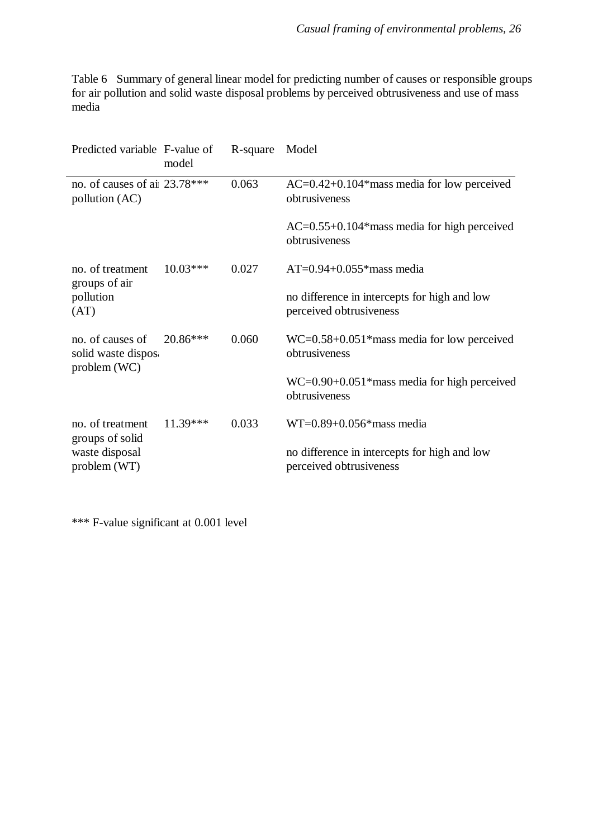Table 6 Summary of general linear model for predicting number of causes or responsible groups for air pollution and solid waste disposal problems by perceived obtrusiveness and use of mass media

| Predicted variable F-value of                                               | model                                | R-square                                                            | Model                                                                   |
|-----------------------------------------------------------------------------|--------------------------------------|---------------------------------------------------------------------|-------------------------------------------------------------------------|
| no. of causes of ai 23.78***<br>pollution (AC)                              |                                      | 0.063                                                               | $AC=0.42+0.104*$ mass media for low perceived<br>obtrusiveness          |
|                                                                             |                                      |                                                                     | $AC=0.55+0.104*$ mass media for high perceived<br>obtrusiveness         |
| no. of treatment                                                            | 0.027<br>$10.03***$<br>groups of air |                                                                     | $AT=0.94+0.055*$ mass media                                             |
| pollution<br>(AT)                                                           |                                      |                                                                     | no difference in intercepts for high and low<br>perceived obtrusiveness |
| no. of causes of<br>0.060<br>20.86***<br>solid waste dispos<br>problem (WC) |                                      |                                                                     | $WC = 0.58 + 0.051$ * mass media for low perceived<br>obtrusiveness     |
|                                                                             |                                      | $WC = 0.90 + 0.051$ *mass media for high perceived<br>obtrusiveness |                                                                         |
| no. of treatment                                                            | $11.39***$                           | 0.033                                                               | $WT=0.89+0.056*$ mass media                                             |
| groups of solid<br>waste disposal<br>problem (WT)                           |                                      |                                                                     | no difference in intercepts for high and low<br>perceived obtrusiveness |

\*\*\* F-value significant at 0.001 level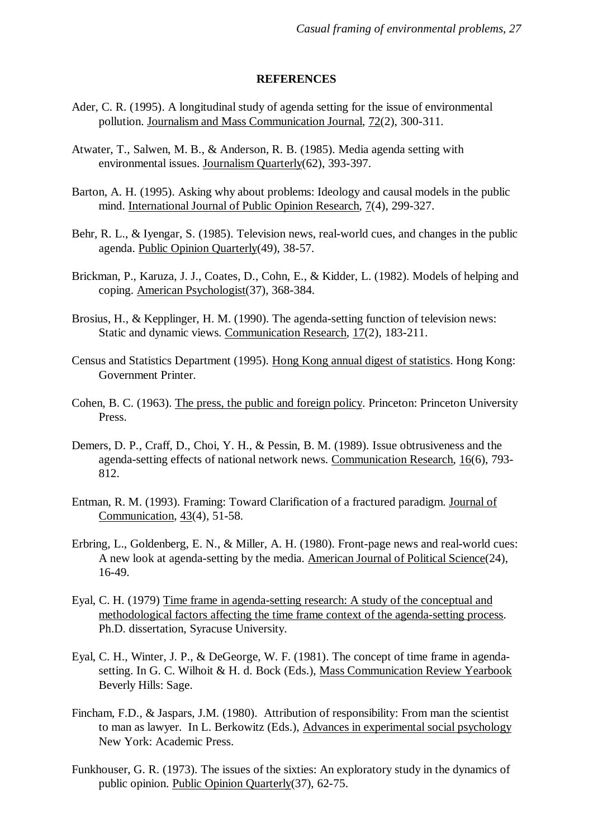#### **REFERENCES**

- Ader, C. R. (1995). A longitudinal study of agenda setting for the issue of environmental pollution. Journalism and Mass Communication Journal, 72(2), 300-311.
- Atwater, T., Salwen, M. B., & Anderson, R. B. (1985). Media agenda setting with environmental issues. Journalism Quarterly(62), 393-397.
- Barton, A. H. (1995). Asking why about problems: Ideology and causal models in the public mind. International Journal of Public Opinion Research, 7(4), 299-327.
- Behr, R. L., & Iyengar, S. (1985). Television news, real-world cues, and changes in the public agenda. Public Opinion Quarterly(49), 38-57.
- Brickman, P., Karuza, J. J., Coates, D., Cohn, E., & Kidder, L. (1982). Models of helping and coping. American Psychologist(37), 368-384.
- Brosius, H., & Kepplinger, H. M. (1990). The agenda-setting function of television news: Static and dynamic views. Communication Research, 17(2), 183-211.
- Census and Statistics Department (1995). Hong Kong annual digest of statistics. Hong Kong: Government Printer.
- Cohen, B. C. (1963). The press, the public and foreign policy. Princeton: Princeton University Press.
- Demers, D. P., Craff, D., Choi, Y. H., & Pessin, B. M. (1989). Issue obtrusiveness and the agenda-setting effects of national network news. Communication Research, 16(6), 793- 812.
- Entman, R. M. (1993). Framing: Toward Clarification of a fractured paradigm. Journal of Communication, 43(4), 51-58.
- Erbring, L., Goldenberg, E. N., & Miller, A. H. (1980). Front-page news and real-world cues: A new look at agenda-setting by the media. American Journal of Political Science(24), 16-49.
- Eyal, C. H. (1979) Time frame in agenda-setting research: A study of the conceptual and methodological factors affecting the time frame context of the agenda-setting process. Ph.D. dissertation, Syracuse University.
- Eyal, C. H., Winter, J. P., & DeGeorge, W. F. (1981). The concept of time frame in agendasetting. In G. C. Wilhoit & H. d. Bock (Eds.), Mass Communication Review Yearbook Beverly Hills: Sage.
- Fincham, F.D., & Jaspars, J.M. (1980). Attribution of responsibility: From man the scientist to man as lawyer. In L. Berkowitz (Eds.), Advances in experimental social psychology New York: Academic Press.
- Funkhouser, G. R. (1973). The issues of the sixties: An exploratory study in the dynamics of public opinion. Public Opinion Quarterly(37), 62-75.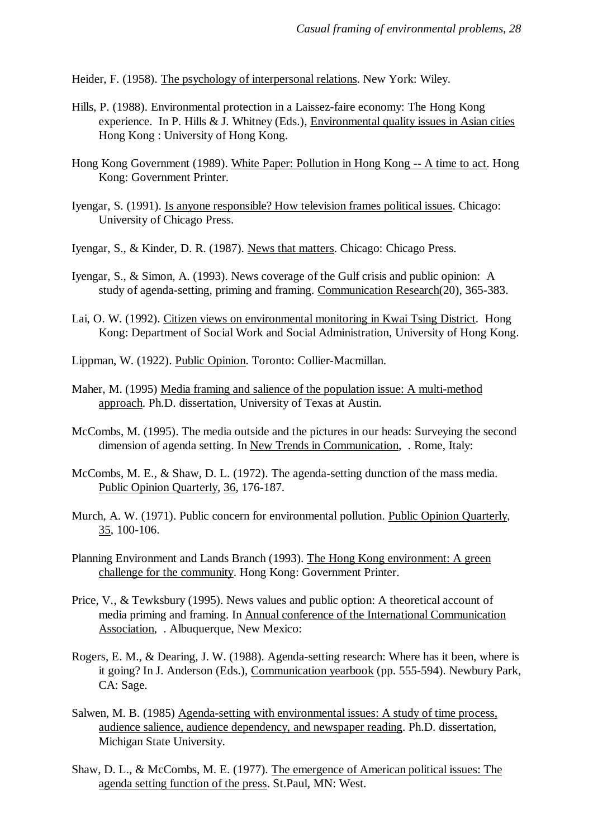Heider, F. (1958). The psychology of interpersonal relations. New York: Wiley.

- Hills, P. (1988). Environmental protection in a Laissez-faire economy: The Hong Kong experience. In P. Hills & J. Whitney (Eds.), Environmental quality issues in Asian cities Hong Kong : University of Hong Kong.
- Hong Kong Government (1989). White Paper: Pollution in Hong Kong -- A time to act. Hong Kong: Government Printer.
- Iyengar, S. (1991). Is anyone responsible? How television frames political issues. Chicago: University of Chicago Press.
- Iyengar, S., & Kinder, D. R. (1987). News that matters. Chicago: Chicago Press.
- Iyengar, S., & Simon, A. (1993). News coverage of the Gulf crisis and public opinion: A study of agenda-setting, priming and framing. Communication Research(20), 365-383.
- Lai, O. W. (1992). Citizen views on environmental monitoring in Kwai Tsing District. Hong Kong: Department of Social Work and Social Administration, University of Hong Kong.
- Lippman, W. (1922). Public Opinion. Toronto: Collier-Macmillan.
- Maher, M. (1995) Media framing and salience of the population issue: A multi-method approach. Ph.D. dissertation, University of Texas at Austin.
- McCombs, M. (1995). The media outside and the pictures in our heads: Surveying the second dimension of agenda setting. In New Trends in Communication, . Rome, Italy:
- McCombs, M. E., & Shaw, D. L. (1972). The agenda-setting dunction of the mass media. Public Opinion Quarterly, 36, 176-187.
- Murch, A. W. (1971). Public concern for environmental pollution. Public Opinion Quarterly, 35, 100-106.
- Planning Environment and Lands Branch (1993). The Hong Kong environment: A green challenge for the community. Hong Kong: Government Printer.
- Price, V., & Tewksbury (1995). News values and public option: A theoretical account of media priming and framing. In Annual conference of the International Communication Association, . Albuquerque, New Mexico:
- Rogers, E. M., & Dearing, J. W. (1988). Agenda-setting research: Where has it been, where is it going? In J. Anderson (Eds.), Communication yearbook (pp. 555-594). Newbury Park, CA: Sage.
- Salwen, M. B. (1985) Agenda-setting with environmental issues: A study of time process, audience salience, audience dependency, and newspaper reading. Ph.D. dissertation, Michigan State University.
- Shaw, D. L., & McCombs, M. E. (1977). The emergence of American political issues: The agenda setting function of the press. St.Paul, MN: West.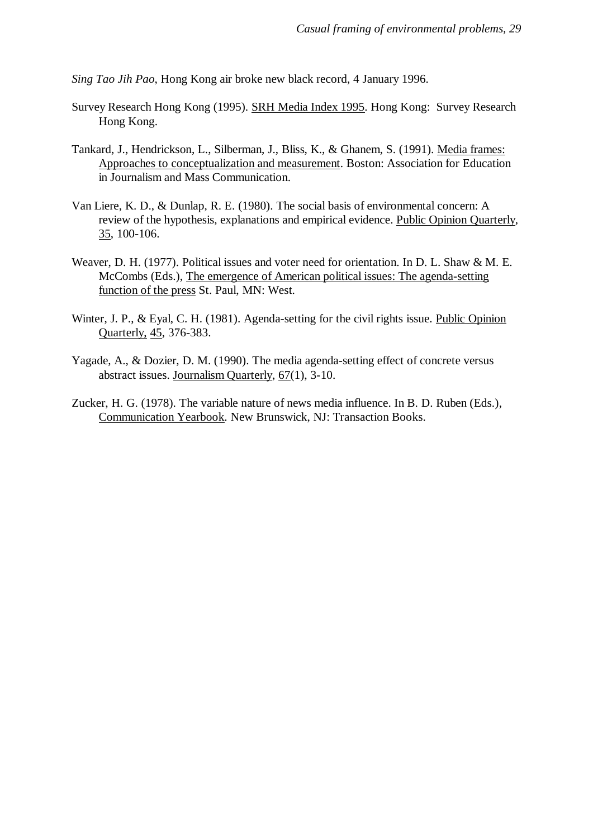*Sing Tao Jih Pao*, Hong Kong air broke new black record, 4 January 1996.

- Survey Research Hong Kong (1995). SRH Media Index 1995. Hong Kong: Survey Research Hong Kong.
- Tankard, J., Hendrickson, L., Silberman, J., Bliss, K., & Ghanem, S. (1991). Media frames: Approaches to conceptualization and measurement. Boston: Association for Education in Journalism and Mass Communication.
- Van Liere, K. D., & Dunlap, R. E. (1980). The social basis of environmental concern: A review of the hypothesis, explanations and empirical evidence. Public Opinion Quarterly, 35, 100-106.
- Weaver, D. H. (1977). Political issues and voter need for orientation. In D. L. Shaw & M. E. McCombs (Eds.), The emergence of American political issues: The agenda-setting function of the press St. Paul, MN: West.
- Winter, J. P., & Eyal, C. H. (1981). Agenda-setting for the civil rights issue. Public Opinion Quarterly, 45, 376-383.
- Yagade, A., & Dozier, D. M. (1990). The media agenda-setting effect of concrete versus abstract issues. Journalism Quarterly, 67(1), 3-10.
- Zucker, H. G. (1978). The variable nature of news media influence. In B. D. Ruben (Eds.), Communication Yearbook. New Brunswick, NJ: Transaction Books.